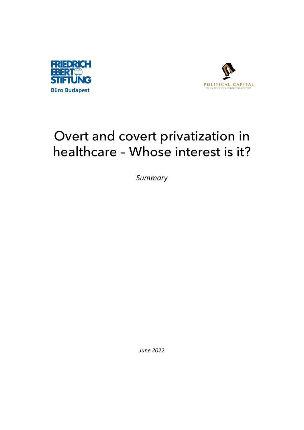



## Overt and covert privatization in healthcare – Whose interest is it?

*Summary*

*June 2022*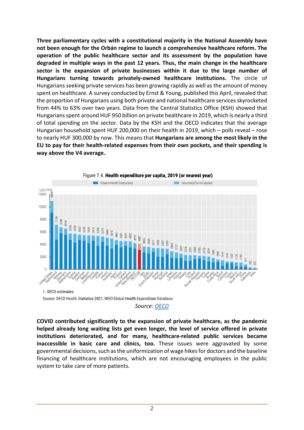**Three parliamentary cycles with a constitutional majority in the National Assembly have not been enough for the Orbán regime to launch a comprehensive healthcare reform. The operation of the public healthcare sector and its assessment by the population have degraded in multiple ways in the past 12 years. Thus, the main change in the healthcare sector is the expansion of private businesses within it due to the large number of Hungarians turning towards privately-owned healthcare institutions.** The circle of Hungarians seeking private services has been growing rapidly as well as the amount of money spent on healthcare. A survey conducted by Ernst & Young, published this April, revealed that the proportion of Hungarians using both private and national healthcare services skyrocketed from 44% to 63% over two years. Data from the Central Statistics Office (KSH) showed that Hungarians spent around HUF 950 billion on private healthcare in 2019, which is nearly a third of total spending on the sector. Data by the KSH and the OECD indicates that the average Hungarian household spent HUF 200,000 on their health in 2019, which – polls reveal – rose to nearly HUF 300,000 by now. This means that **Hungarians are among the most likely in the EU to pay for their health-related expenses from their own pockets, and their spending is way above the V4 average.** 



Source: OECD Health Statistics 2021, WHO Global Health Expenditure Database.

**COVID contributed significantly to the expansion of private healthcare, as the pandemic helped already long waiting lists get even longer, the level of service offered in private institutions deteriorated, and for many, healthcare-related public services became inaccessible in basic care and clinics, too.** These issues were aggravated by some governmental decisions, such as the uniformization of wage hikes for doctors and the baseline financing of healthcare institutions, which are not encouraging employees in the public system to take care of more patients.

*Source: [OECD](https://www.oecd-ilibrary.org/sites/154e8143-en/index.html?itemId=/content/component/154e8143-en)*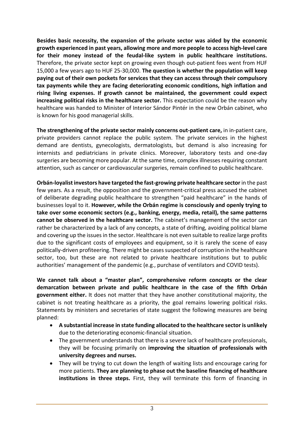**Besides basic necessity, the expansion of the private sector was aided by the economic growth experienced in past years, allowing more and more people to access high-level care for their money instead of the feudal-like system in public healthcare institutions.**  Therefore, the private sector kept on growing even though out-patient fees went from HUF 15,000 a few years ago to HUF 25-30,000. **The question is whether the population will keep paying out of their own pockets for services that they can access through their compulsory tax payments while they are facing deteriorating economic conditions, high inflation and rising living expenses. If growth cannot be maintained, the government could expect increasing political risks in the healthcare sector.** This expectation could be the reason why healthcare was handed to Minister of Interior Sándor Pintér in the new Orbán cabinet, who is known for his good managerial skills.

**The strengthening of the private sector mainly concerns out-patient care,** in in-patient care, private providers cannot replace the public system. The private services in the highest demand are dentists, gynecologists, dermatologists, but demand is also increasing for internists and pediatricians in private clinics. Moreover, laboratory tests and one-day surgeries are becoming more popular. At the same time, complex illnesses requiring constant attention, such as cancer or cardiovascular surgeries, remain confined to public healthcare.

**Orbán-loyalist investors have targeted the fast-growing private healthcare sector** in the past few years. As a result, the opposition and the government-critical press accused the cabinet of deliberate degrading public healthcare to strengthen "paid healthcare" in the hands of businesses loyal to it. **However, while the Orbán regime is consciously and openly trying to take over some economic sectors (e.g., banking, energy, media, retail), the same patterns cannot be observed in the healthcare sector.** The cabinet's management of the sector can rather be characterized by a lack of any concepts, a state of drifting, avoiding political blame and covering up the issues in the sector. Healthcare is not even suitable to realize large profits due to the significant costs of employees and equipment, so it is rarely the scene of easy politically-driven profiteering. There might be cases suspected of corruption in the healthcare sector, too, but these are not related to private healthcare institutions but to public authorities' management of the pandemic (e.g., purchase of ventilators and COVID tests).

**We cannot talk about a "master plan", comprehensive reform concepts or the clear demarcation between private and public healthcare in the case of the fifth Orbán government either.** It does not matter that they have another constitutional majority, the cabinet is not treating healthcare as a priority, the goal remains lowering political risks. Statements by ministers and secretaries of state suggest the following measures are being planned:

- **A substantial increase in state funding allocated to the healthcare sector is unlikely**  due to the deteriorating economic-financial situation.
- The government understands that there is a severe lack of healthcare professionals, they will be focusing primarily on **improving the situation of professionals with university degrees and nurses.**
- They will be trying to cut down the length of waiting lists and encourage caring for more patients. **They are planning to phase out the baseline financing of healthcare institutions in three steps.** First, they will terminate this form of financing in